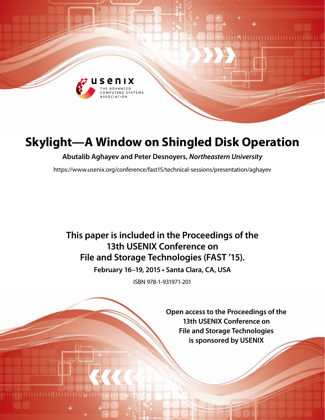

# **Skylight—A Window on Shingled Disk Operation**

**Abutalib Aghayev and Peter Desnoyers,** *Northeastern University*

https://www.usenix.org/conference/fast15/technical-sessions/presentation/aghayev

## **This paper is included in the Proceedings of the 13th USENIX Conference on File and Storage Technologies (FAST '15).**

**February 16–19, 2015 • Santa Clara, CA, USA**

ISBN 978-1-931971-201

**Open access to the Proceedings of the 13th USENIX Conference on File and Storage Technologies is sponsored by USENIX**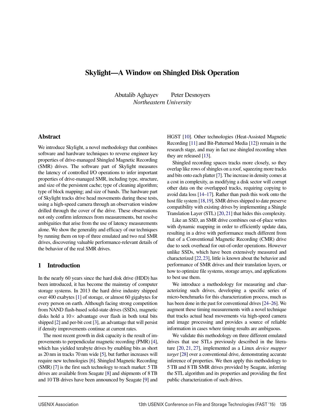## Skylight—A Window on Shingled Disk Operation

Abutalib Aghayev Peter Desnoyers *Northeastern University*

#### Abstract

We introduce Skylight, a novel methodology that combines software and hardware techniques to reverse engineer key properties of drive-managed Shingled Magnetic Recording (SMR) drives. The software part of Skylight measures the latency of controlled I/O operations to infer important properties of drive-managed SMR, including type, structure, and size of the persistent cache; type of cleaning algorithm; type of block mapping; and size of bands. The hardware part of Skylight tracks drive head movements during these tests, using a high-speed camera through an observation window drilled through the cover of the drive. These observations not only confirm inferences from measurements, but resolve ambiguities that arise from the use of latency measurements alone. We show the generality and efficacy of our techniques by running them on top of three emulated and two real SMR drives, discovering valuable performance-relevant details of the behavior of the real SMR drives.

#### 1 Introduction

In the nearly 60 years since the hard disk drive (HDD) has been introduced, it has become the mainstay of computer storage systems. In 2013 the hard drive industry shipped over 400 exabytes [1] of storage, or almost 60 gigabytes for every person on earth. Although facing strong competition from NAND flash-based solid-state drives (SSDs), magnetic disks hold a  $10\times$  advantage over flash in both total bits shipped [2] and per-bit cost [3], an advantage that will persist if density improvements continue at current rates.

The most recent growth in disk capacity is the result of improvements to perpendicular magnetic recording (PMR) [4], which has yielded terabyte drives by enabling bits as short as 20 nm in tracks 70 nm wide [5], but further increases will require new technologies [6]. Shingled Magnetic Recording (SMR) [7] is the first such technology to reach market: 5 TB drives are available from Seagate [8] and shipments of 8 TB and 10 TB drives have been announced by Seagate [9] and

HGST [10]. Other technologies (Heat-Assisted Magnetic Recording [11] and Bit-Patterned Media [12]) remain in the research stage, and may in fact use shingled recording when they are released [13].

Shingled recording spaces tracks more closely, so they overlap like rows of shingles on a roof, squeezing more tracks and bits onto each platter [7]. The increase in density comes at a cost in complexity, as modifying a disk sector will corrupt other data on the overlapped tracks, requiring copying to avoid data loss [14–17]. Rather than push this work onto the host file system [18,19], SMR drives shipped to date preserve compatibility with existing drives by implementing a Shingle Translation Layer (STL) [20,21] that hides this complexity.

Like an SSD, an SMR drive combines out-of-place writes with dynamic mapping in order to efficiently update data, resulting in a drive with performance much different from that of a Conventional Magnetic Recording (CMR) drive due to seek overhead for out-of-order operations. However unlike SSDs, which have been extensively measured and characterized [22,23], little is known about the behavior and performance of SMR drives and their translation layers, or how to optimize file systems, storage arrays, and applications to best use them.

We introduce a methodology for measuring and characterizing such drives, developing a specific series of micro-benchmarks for this characterization process, much as has been done in the past for conventional drives [24–26]. We augment these timing measurements with a novel technique that tracks actual head movements via high-speed camera and image processing and provides a source of reliable information in cases where timing results are ambiguous.

We validate this methodology on three different emulated drives that use STLs previously described in the literature [20, 21, 27], implemented as a Linux *device mapper target* [28] over a conventional drive, demonstrating accurate inference of properties. We then apply this methodology to 5 TB and 8 TB SMR drives provided by Seagate, inferring the STL algorithm and its properties and providing the first public characterization of such drives.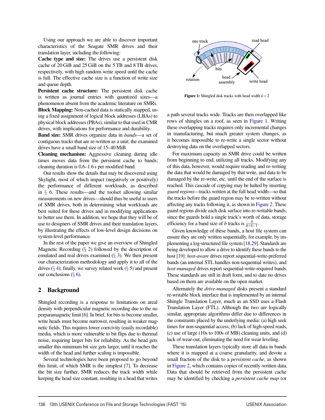Using our approach we are able to discover important characteristics of the Seagate SMR drives and their translation layer, including the following:

Cache type and size: The drives use a persistent disk cache of 20 GiB and 25 GiB on the 5 TB and 8 TB drives, respectively, with high random write speed until the cache is full. The effective cache size is a function of write size and queue depth.

Persistent cache structure: The persistent disk cache is written as journal entries with quantized sizes—a phenomenon absent from the academic literature on SMRs. Block Mapping: Non-cached data is statically mapped, using a fixed assignment of logical block addresses (LBAs) to physical block addresses (PBAs), similar to that used in CMR drives, with implications for performance and durability.

Band size: SMR drives organize data in *bands*—a set of contiguous tracks that are re-written as a unit; the examined drives have a small band size of 15–40MiB.

Cleaning mechanism: Aggressive cleaning during idle times moves data from the persistent cache to bands; cleaning duration is 0.6–1.6 s per modified band.

Our results show the details that may be discovered using Skylight, most of which impact (negatively or positively) the performance of different workloads, as described in § 6. These results—and the toolset allowing similar measurements on new drives—should thus be useful to users of SMR drives, both in determining what workloads are best suited for these drives and in modifying applications to better use them. In addition, we hope that they will be of use to designers of SMR drives and their translation layers, by illustrating the effects of low-level design decisions on system-level performance.

In the rest of the paper we give an overview of Shingled Magnetic Recording  $(\S 2)$  followed by the description of emulated and real drives examined (§ 3). We then present our characterization methodology and apply it to all of the drives  $(\S 4)$ ; finally, we survey related work  $(\S 5)$  and present our conclusions  $(\S 6)$ .

## 2 Background

Shingled recording is a response to limitations on areal density with perpendicular magnetic recording due to the superparamagnetic limit [6]. In brief, for bits to become smaller, write heads must become narrower, resulting in weaker magnetic fields. This requires lower coercivity (easily recordable) media, which is more vulnerable to bit flips due to thermal noise, requiring larger bits for reliability. As the head gets smaller this minimum bit size gets larger, until it reaches the width of the head and further scaling is impossible.

Several technologies have been proposed to go beyond this limit, of which SMR is the simplest [7]. To decrease the bit size further, SMR reduces the track width while keeping the head size constant, resulting in a head that writes



**Figure 1:** Shingled disk tracks with head width  $k=2$ 

a path several tracks wide. Tracks are then overlapped like rows of shingles on a roof, as seen in Figure 1. Writing these overlapping tracks requires only incremental changes in manufacturing, but much greater system changes, as it becomes impossible to re-write a single sector without destroying data on the overlapped sectors.

For maximum capacity an SMR drive could be written from beginning to end, utilizing all tracks. Modifying any of this data, however, would require reading and re-writing the data that would be damaged by that write, and data to be damaged by the re-write, etc. until the end of the surface is reached. This cascade of copying may be halted by inserting *guard regions*—tracks written at the full head width—so that the tracks before the guard region may be re-written without affecting any tracks following it, as shown in Figure 2. These guard regions divide each disk surface into re-writable bands; since the guards hold a single track's worth of data, storage efficiency for a band size of *b* tracks is  $\frac{b}{b+k-1}$ .

Given knowledge of these bands, a host file system can ensure they are only written sequentially, for example, by implementing a log-structured file system [18,29]. Standards are being developed to allow a drive to identify these bands to the host [19]: *host-aware* drives report sequential-write-preferred bands (an internal STL handles non-sequential writes), and *host-managed* drives report sequential-write-required bands. These standards are still in draft form, and to date no drives based on them are available on the open market.

Alternately the *drive-managed* disks present a standard re-writable block interface that is implemented by an internal Shingle Translation Layer, much as an SSD uses a Flash Translation Layer (FTL). Although the two are logically similar, appropriate algorithms differ due to differences in the constraints placed by the underlying media: (a) high seek times for non-sequential access, (b) lack of high-speed reads, (c) use of large (10s to 100s of MB) cleaning units, and (d) lack of wear-out, eliminating the need for wear leveling.

These translation layers typically store all data in bands where it is mapped at a coarse granularity, and devote a small fraction of the disk to a *persistent cache*, as shown in Figure 2, which contains copies of recently-written data. Data that should be retrieved from the persistent cache may be identified by checking a *persistent cache map* (or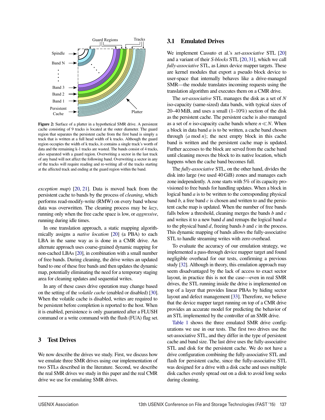

Figure 2: Surface of a platter in a hypothetical SMR drive. A persistent cache consisting of 9 tracks is located at the outer diameter. The guard region that separates the persistent cache from the first band is simply a track that is written at a full head width of k tracks. Although the guard region occupies the width of k tracks, it contains a single track's worth of data and the remaining k-1 tracks are wasted. The bands consist of 4 tracks, also separated with a guard region. Overwriting a sector in the last track of any band will not affect the following band. Overwriting a sector in any of the tracks will require reading and re-writing all of the tracks starting at the affected track and ending at the guard region within the band.

*exception map*) [20, 21]. Data is moved back from the persistent cache to bands by the process of *cleaning*, which performs read-modify-write (RMW) on every band whose data was overwritten. The cleaning process may be *lazy*, running only when the free cache space is low, or *aggressive*, running during idle times.

In one translation approach, a static mapping algorithmically assigns a *native location* [20] (a PBA) to each LBA in the same way as is done in a CMR drive. An alternate approach uses coarse-grained dynamic mapping for non-cached LBAs [20], in combination with a small number of free bands. During cleaning, the drive writes an updated band to one of these free bands and then updates the dynamic map, potentially eliminating the need for a temporary staging area for cleaning updates and sequential writes.

In any of these cases drive operation may change based on the setting of the *volatile cache* (enabled or disabled) [30]. When the volatile cache is disabled, writes are required to be persistent before completion is reported to the host. When it is enabled, persistence is only guaranteed after a FLUSH command or a write command with the flush (FUA) flag set.

#### 3 Test Drives

We now describe the drives we study. First, we discuss how we emulate three SMR drives using our implementation of two STLs described in the literature. Second, we describe the real SMR drives we study in this paper and the real CMR drive we use for emulating SMR drives.

#### 3.1 Emulated Drives

We implement Cassuto et al.'s *set-associative* STL [20] and a variant of their *S-blocks* STL [20,31], which we call *fully-associative* STL, as Linux device mapper targets. These are kernel modules that export a pseudo block device to user-space that internally behaves like a drive-managed SMR—the module translates incoming requests using the translation algorithm and executes them on a CMR drive.

The *set-associative* STL manages the disk as a set of *N* iso-capacity (same-sized) data bands, with typical sizes of  $20-40$  MiB, and uses a small  $(1-10\%)$  section of the disk as the persistent cache. The persistent cache is also managed as a set of *n* iso-capacity cache bands where  $n \ll N$ . When a block in data band *a* is to be written, a cache band chosen through (*a* mod *n*); the next empty block in this cache band is written and the persistent cache map is updated. Further accesses to the block are served from the cache band until cleaning moves the block to its native location, which happens when the cache band becomes full.

The *fully-associative* STL, on the other hand, divides the disk into large (we used 40 GiB) zones and manages each zone independently. A zone starts with 5% of its capacity provisioned to free bands for handling updates. When a block in logical band *a* is to be written to the corresponding physical band *b*, a free band *c* is chosen and written to and the persistent cache map is updated. When the number of free bands falls below a threshold, cleaning merges the bands *b* and *c* and writes it to a new band *d* and remaps the logical band *a* to the physical band *d*, freeing bands *b* and *c* in the process. This dynamic mapping of bands allows the fully-associative STL to handle streaming writes with zero overhead.

To evaluate the accuracy of our emulation strategy, we implemented a pass-through device mapper target and found negligible overhead for our tests, confirming a previous study [32]. Although in theory, this emulation approach may seem disadvantaged by the lack of access to exact sector layout, in practice this is not the case—even in real SMR drives, the STL running inside the drive is implemented on top of a layer that provides linear PBAs by hiding sector layout and defect management [33]. Therefore, we believe that the device mapper target running on top of a CMR drive provides an accurate model for predicting the behavior of an STL implemented by the controller of an SMR drive.

Table 1 shows the three emulated SMR drive configurations we use in our tests. The first two drives use the set-associative STL, and they differ in the type of persistent cache and band size. The last drive uses the fully-associative STL and disk for the persistent cache. We do not have a drive configuration combining the fully-associative STL and flash for persistent cache, since the fully-associative STL was designed for a drive with a disk cache and uses multiple disk caches evenly spread out on a disk to avoid long seeks during cleaning.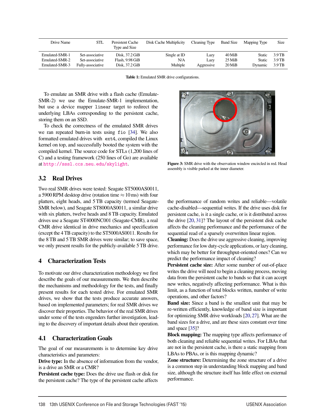| Drive Name     | STL               | Persistent Cache<br>Type and Size | <b>Disk Cache Multiplicity</b> | Cleaning Type | <b>Band Size</b> | Mapping Type | Size     |
|----------------|-------------------|-----------------------------------|--------------------------------|---------------|------------------|--------------|----------|
| Emulated-SMR-1 | Set-associative   | Disk. 37.2 GiB                    | Single at ID                   | Lazy          | $40$ MiB         | Static       | 3.9 TB   |
| Emulated-SMR-2 | Set-associative   | Flash, 9.98 GiB                   | N/A                            | Lazy          | $25$ MiB         | Static       | 3.9 TB   |
| Emulated-SMR-3 | Fully-associative | Disk. 37.2 GiB                    | Multiple                       | Aggressive    | $20$ MiB         | Dynamic      | $3.9$ TB |

Table 1: Emulated SMR drive configurations.

To emulate an SMR drive with a flash cache (Emulate-SMR-2) we use the Emulate-SMR-1 implementation, but use a device mapper linear target to redirect the underlying LBAs corresponding to the persistent cache, storing them on an SSD.

To check the correctness of the emulated SMR drives we ran repeated burn-in tests using fio [34]. We also formatted emulated drives with ext4, compiled the Linux kernel on top, and successfully booted the system with the compiled kernel. The source code for STLs (1,200 lines of C) and a testing framework (250 lines of Go) are available at http://sssl.ccs.neu.edu/skylight.

## 3.2 Real Drives

Two real SMR drives were tested: Seagate ST5000AS0011, a 5900 RPM desktop drive (rotation time  $\approx 10$  ms) with four platters, eight heads, and 5 TB capacity (termed Seagate-SMR below), and Seagate ST8000AS0011, a similar drive with six platters, twelve heads and 8 TB capacity. Emulated drives use a Seagate ST4000NC001 (Seagate-CMR), a real CMR drive identical in drive mechanics and specification (except the 4 TB capacity) to the ST5000AS0011. Results for the 8 TB and 5 TB SMR drives were similar; to save space, we only present results for the publicly-available 5 TB drive.

## 4 Characterization Tests

To motivate our drive characterization methodology we first describe the goals of our measurements. We then describe the mechanisms and methodology for the tests, and finally present results for each tested drive. For emulated SMR drives, we show that the tests produce accurate answers, based on implemented parameters; for real SMR drives we discover their properties. The behavior of the real SMR drives under some of the tests engenders further investigation, leading to the discovery of important details about their operation.

#### 4.1 Characterization Goals

The goal of our measurements is to determine key drive characteristics and parameters:

Drive type: In the absence of information from the vendor, is a drive an SMR or a CMR?

Persistent cache type: Does the drive use flash or disk for the persistent cache? The type of the persistent cache affects



Figure 3: SMR drive with the observation window encircled in red. Head assembly is visible parked at the inner diameter.

the performance of random writes and reliable—volatile cache-disabled—sequential writes. If the drive uses disk for persistent cache, is it a single cache, or is it distributed across the drive [20, 31]? The layout of the persistent disk cache affects the cleaning performance and the performance of the sequential read of a sparsely overwritten linear region.

Cleaning: Does the drive use aggressive cleaning, improving performance for low duty-cycle applications, or lazy cleaning, which may be better for throughput-oriented ones? Can we predict the performance impact of cleaning?

Persistent cache size: After some number of out-of-place writes the drive will need to begin a cleaning process, moving data from the persistent cache to bands so that it can accept new writes, negatively affecting performance. What is this limit, as a function of total blocks written, number of write operations, and other factors?

Band size: Since a band is the smallest unit that may be re-written efficiently, knowledge of band size is important for optimizing SMR drive workloads [20,27]. What are the band sizes for a drive, and are these sizes constant over time and space [35]?

Block mapping: The mapping type affects performance of both cleaning and reliable sequential writes. For LBAs that are not in the persistent cache, is there a static mapping from LBAs to PBAs, or is this mapping dynamic?

Zone structure: Determining the zone structure of a drive is a common step in understanding block mapping and band size, although the structure itself has little effect on external performance.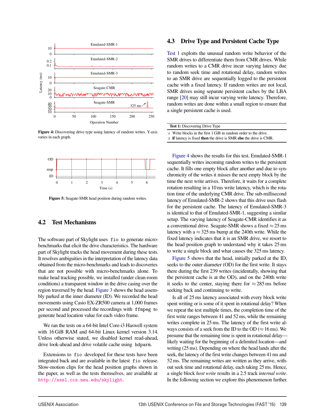

Figure 4: Discovering drive type using latency of random writes. Y-axis varies in each graph.



Figure 5: Seagate-SMR head position during random writes.

#### 4.2 Test Mechanisms

The software part of Skylight uses fio to generate microbenchmarks that elicit the drive characteristics. The hardware part of Skylight tracks the head movement during these tests. It resolves ambiguities in the interpretation of the latency data obtained from the micro-benchmarks and leads to discoveries that are not possible with micro-benchmarks alone. To make head tracking possible, we installed (under clean-room conditions) a transparent window in the drive casing over the region traversed by the head. Figure 3 shows the head assembly parked at the inner diameter (ID). We recorded the head movements using Casio EX-ZR500 camera at 1,000 frames per second and processed the recordings with ffmpeg to generate head location value for each video frame.

We ran the tests on a 64-bit Intel Core-i3 Haswell system with 16 GiB RAM and 64-bit Linux kernel version 3.14. Unless otherwise stated, we disabled kernel read-ahead, drive look-ahead and drive volatile cache using hdparm.

Extensions to fio developed for these tests have been integrated back and are available in the latest fio release. Slow-motion clips for the head position graphs shown in the paper, as well as the tests themselves, are available at http://sssl.ccs.neu.edu/skylight.

#### 4.3 Drive Type and Persistent Cache Type

Test 1 exploits the unusual random write behavior of the SMR drives to differentiate them from CMR drives. While random writes to a CMR drive incur varying latency due to random seek time and rotational delay, random writes to an SMR drive are sequentially logged to the persistent cache with a fixed latency. If random writes are not local, SMR drives using separate persistent caches by the LBA range [20] may still incur varying write latency. Therefore, random writes are done within a small region to ensure that a single persistent cache is used.

| <b>Test 1:</b> Discovering Drive Type                              |  |  |
|--------------------------------------------------------------------|--|--|
| 1 Write blocks in the first 1 GiB in random order to the drive.    |  |  |
| 2 if latency is fixed then the drive is SMR else the drive is CMR. |  |  |

Figure 4 shows the results for this test. Emulated-SMR-1 sequentially writes incoming random writes to the persistent cache. It fills one empty block after another and due to synchronicity of the writes it misses the next empty block by the time the next write arrives. Therefore, it waits for a complete rotation resulting in a 10 ms write latency, which is the rotation time of the underlying CMR drive. The sub-millisecond latency of Emulated-SMR-2 shows that this drive uses flash for the persistent cache. The latency of Emulated-SMR-3 is identical to that of Emulated-SMR-1, suggesting a similar setup. The varying latency of Seagate-CMR identifies it as a conventional drive. Seagate-SMR shows a fixed  $\approx$  25 ms latency with a  $\approx$  325 ms bump at the 240th write. While the fixed latency indicates that it is an SMR drive, we resort to the head position graph to understand why it takes 25 ms to write a single block and what causes the 325 ms latency.

Figure 5 shows that the head, initially parked at the ID, seeks to the outer diameter (OD) for the first write. It stays there during the first 239 writes (incidentally, showing that the persistent cache is at the OD), and on the 240th write it seeks to the center, staying there for  $\approx 285 \,\text{ms}$  before seeking back and continuing to write.

Is all of 25 ms latency associated with every block write spent writing or is some of it spent in rotational delay? When we repeat the test multiple times, the completion time of the first write ranges between 41 and 52 ms, while the remaining writes complete in 25 ms. The latency of the first write always consists of a seek from the ID to the OD ( $\approx$  16 ms). We presume that the remaining time is spent in rotational delay likely waiting for the beginning of a delimited location—and writing (25 ms). Depending on where the head lands after the seek, the latency of the first write changes between 41 ms and 52 ms. The remaining writes are written as they arrive, without seek time and rotational delay, each taking 25 ms. Hence, a single block *host write* results in a 2.5 track *internal write*. In the following section we explore this phenomenon further.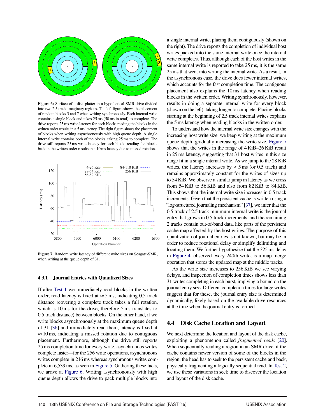

Figure 6: Surface of a disk platter in a hypothetical SMR drive divided into two 2.5 track imaginary regions. The left figure shows the placement of random blocks 3 and 7 when writing synchronously. Each internal write contains a single block and takes 25 ms (50 ms in total) to complete. The drive reports 25 ms write latency for each block; reading the blocks in the written order results in a 5 ms latency. The right figure shows the placement of blocks when writing asynchronously with high queue depth. A single internal write contains both of the blocks, taking 25 ms to complete. The drive still reports 25 ms write latency for each block; reading the blocks back in the written order results in a 10 ms latency due to missed rotation.



Figure 7: Random write latency of different write sizes on Seagate-SMR, when writing at the queue depth of 31.

#### 4.3.1 Journal Entries with Quantized Sizes

If after Test 1 we immediately read blocks in the written order, read latency is fixed at  $\approx$  5 ms, indicating 0.5 track distance (covering a complete track takes a full rotation, which is 10 ms for the drive; therefore 5 ms translates to 0.5 track distance) between blocks. On the other hand, if we write blocks asynchronously at the maximum queue depth of 31 [36] and immediately read them, latency is fixed at  $\approx$  10 ms, indicating a missed rotation due to contiguous placement. Furthermore, although the drive still reports 25 ms completion time for every write, asynchronous writes complete faster—for the 256 write operations, asynchronous writes complete in 216 ms whereas synchronous writes complete in 6,539 ms, as seen in Figure 5. Gathering these facts, we arrive at Figure 6. Writing asynchronously with high queue depth allows the drive to pack multiple blocks into a single internal write, placing them contiguously (shown on the right). The drive reports the completion of individual host writes packed into the same internal write once the internal write completes. Thus, although each of the host writes in the same internal write is reported to take 25 ms, it is the same 25 ms that went into writing the internal write. As a result, in the asynchronous case, the drive does fewer internal writes, which accounts for the fast completion time. The contiguous placement also explains the 10 ms latency when reading blocks in the written order. Writing synchronously, however, results in doing a separate internal write for every block (shown on the left), taking longer to complete. Placing blocks starting at the beginning of 2.5 track internal writes explains the 5 ms latency when reading blocks in the written order.

To understand how the internal write size changes with the increasing host write size, we keep writing at the maximum queue depth, gradually increasing the write size. Figure 7 shows that the writes in the range of 4 KiB–26 KiB result in 25 ms latency, suggesting that 31 host writes in this size range fit in a single internal write. As we jump to the 28 KiB writes, the latency increases by  $\approx$  5 ms (or 0.5 track) and remains approximately constant for the writes of sizes up to 54 KiB. We observe a similar jump in latency as we cross from 54 KiB to 56 KiB and also from 82 KiB to 84 KiB. This shows that the internal write size increases in 0.5 track increments. Given that the persistent cache is written using a "log-structured journaling mechanism" [37], we infer that the 0.5 track of 2.5 track minimum internal write is the journal entry that grows in 0.5 track increments, and the remaining 2 tracks contain out-of-band data, like parts of the persistent cache map affected by the host writes. The purpose of this quantization of journal entries is not known, but may be in order to reduce rotational delay or simplify delimiting and locating them. We further hypothesize that the 325 ms delay in Figure 4, observed every 240th write, is a map merge operation that stores the updated map at the middle tracks.

As the write size increases to 256 KiB we see varying delays, and inspection of completion times shows less than 31 writes completing in each burst, implying a bound on the journal entry size. Different completion times for large writes suggest that for these, the journal entry size is determined dynamically, likely based on the available drive resources at the time when the journal entry is formed.

#### 4.4 Disk Cache Location and Layout

We next determine the location and layout of the disk cache, exploiting a phenomenon called *fragmented reads* [20]. When sequentially reading a region in an SMR drive, if the cache contains newer version of some of the blocks in the region, the head has to seek to the persistent cache and back, physically fragmenting a logically sequential read. In Test 2, we use these variations in seek time to discover the location and layout of the disk cache.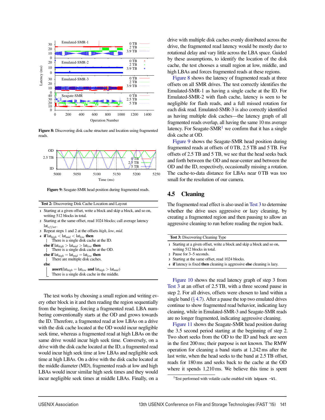

Figure 8: Discovering disk cache structure and location using fragmented reads.



Figure 9: Seagate-SMR head position during fragmented reads.

Test 2: Discovering Disk Cache Location and Layout

- Starting at a given offset, write a block and skip a block, and so on, writing 512 blocks in total.
- <sup>2</sup> Starting at the same offset, read 1024 blocks; call average latency lat*of f set*.

```
3 Repeat steps 1 and 2 at the offsets high, low, mid.
```
4 if  $\text{lat}_{high} < \text{lat}_{mid} < \text{lat}_{low}$  then There is a single disk cache at the ID. else if  $\text{lat}_{high} > \text{lat}_{mid} > \text{lat}_{low}$  then There is a single disk cache at the OD. else if  $lat_{high} = lat_{mid} = lat_{low}$  then There are multiple disk caches.  $\mathbf{L}$ else  $\textbf{assert}(\text{lat}_{high} = \text{lat}_{low} \textbf{ and } \text{lat}_{high} > \text{lat}_{mid})$ There is a single disk cache in the middle.

The test works by choosing a small region and writing every other block in it and then reading the region sequentially from the beginning, forcing a fragmented read. LBA numbering conventionally starts at the OD and grows towards the ID. Therefore, a fragmented read at low LBAs on a drive with the disk cache located at the OD would incur negligible seek time, whereas a fragmented read at high LBAs on the same drive would incur high seek time. Conversely, on a drive with the disk cache located at the ID, a fragmented read would incur high seek time at low LBAs and negligible seek time at high LBAs. On a drive with the disk cache located at the middle diameter (MD), fragmented reads at low and high LBAs would incur similar high seek times and they would incur negligible seek times at middle LBAs. Finally, on a

drive with multiple disk caches evenly distributed across the drive, the fragmented read latency would be mostly due to rotational delay and vary little across the LBA space. Guided by these assumptions, to identify the location of the disk cache, the test chooses a small region at low, middle, and high LBAs and forces fragmented reads at these regions.

Figure 8 shows the latency of fragmented reads at three offsets on all SMR drives. The test correctly identifies the Emulated-SMR-1 as having a single cache at the ID. For Emulated-SMR-2 with flash cache, latency is seen to be negligible for flash reads, and a full missed rotation for each disk read. Emulated-SMR-3 is also correctly identified as having multiple disk caches—the latency graph of all fragmented reads overlap, all having the same 10 ms average latency. For Seagate-SMR<sup>1</sup> we confirm that it has a single disk cache at OD.

Figure 9 shows the Seagate-SMR head position during fragmented reads at offsets of 0 TB, 2.5 TB and 5 TB. For offsets of 2.5 TB and 5 TB, we see that the head seeks back and forth between the OD and near-center and between the OD and the ID, respectively, occasionally missing a rotation. The cache-to-data distance for LBAs near 0 TB was too small for the resolution of our camera.

#### 4.5 Cleaning

The fragmented read effect is also used in Test 3 to determine whether the drive uses aggressive or lazy cleaning, by creating a fragmented region and then pausing to allow an aggressive cleaning to run before reading the region back.

| <b>Test 3:</b> Discovering Cleaning Type                                |
|-------------------------------------------------------------------------|
| 1 Starting at a given offset, write a block and skip a block and so on, |

writing 512 blocks in total.

- <sup>3</sup> Starting at the same offset, read 1024 blocks.
- <sup>4</sup> if latency is fixed then cleaning is aggressive else cleaning is lazy.

Figure 10 shows the read latency graph of step 3 from Test 3 at an offset of 2.5 TB, with a three second pause in step 2. For all drives, offsets were chosen to land within a single band  $(\S 4.7)$ . After a pause the top two emulated drives continue to show fragmented read behavior, indicating lazy cleaning, while in Emulated-SMR-3 and Seagate-SMR reads are no longer fragmented, indicating aggressive cleaning.

Figure 11 shows the Seagate-SMR head position during the 3.5 second period starting at the beginning of step 2. Two short seeks from the OD to the ID and back are seen in the first 200 ms; their purpose is not known. The RMW operation for cleaning a band starts at 1,242 ms after the last write, when the head seeks to the band at 2.5 TB offset, reads for 180 ms and seeks back to the cache at the OD where it spends 1,210 ms. We believe this time is spent

<sup>2</sup> Pause for 3–5 seconds.

<sup>&</sup>lt;sup>1</sup>Test performed with volatile cache enabled with  $h$ dparm  $-W1$ .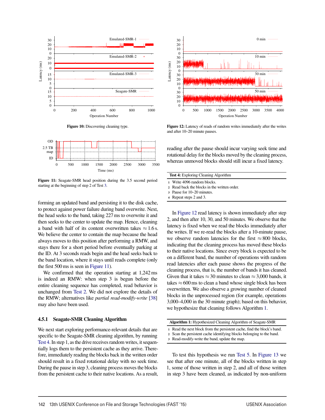





Figure 11: Seagate-SMR head position during the 3.5 second period starting at the beginning of step 2 of Test 3.

forming an updated band and persisting it to the disk cache, to protect against power failure during band overwrite. Next, the head seeks to the band, taking 227 ms to overwrite it and then seeks to the center to update the map. Hence, cleaning a band with half of its content overwritten takes  $\approx 1.6$  s. We believe the center to contain the map because the head always moves to this position after performing a RMW, and stays there for a short period before eventually parking at the ID. At 3 seconds reads begin and the head seeks back to the band location, where it stays until reads complete (only the first 500 ms is seen in Figure 11).

We confirmed that the operation starting at 1,242 ms is indeed an RMW: when step 3 is begun before the entire cleaning sequence has completed, read behavior is unchanged from Test 2. We did not explore the details of the RMW; alternatives like *partial read-modify-write* [38] may also have been used.

#### 4.5.1 Seagate-SMR Cleaning Algorithm

We next start exploring performance-relevant details that are specific to the Seagate-SMR cleaning algorithm, by running Test 4. In step 1, as the drive receives random writes, it sequentially logs them to the persistent cache as they arrive. Therefore, immediately reading the blocks back in the written order should result in a fixed rotational delay with no seek time. During the pause in step 3, cleaning process moves the blocks from the persistent cache to their native locations. As a result,



Figure 12: Latency of reads of random writes immediately after the writes and after 10–20 minute pauses.

reading after the pause should incur varying seek time and rotational delay for the blocks moved by the cleaning process, whereas unmoved blocks should still incur a fixed latency.

| <b>Test 4:</b> Exploring Cleaning Algorithm |
|---------------------------------------------|
| 1 Write 4096 random blocks.                 |
|                                             |

<sup>2</sup> Read back the blocks in the written order.

In Figure 12 read latency is shown immediately after step 2, and then after 10, 30, and 50 minutes. We observe that the latency is fixed when we read the blocks immediately after the writes. If we re-read the blocks after a 10-minute pause, we observe random latencies for the first  $\approx 800$  blocks, indicating that the cleaning process has moved these blocks to their native locations. Since every block is expected to be on a different band, the number of operations with random read latencies after each pause shows the progress of the cleaning process, that is, the number of bands it has cleaned. Given that it takes  $\approx$  30 minutes to clean  $\approx$  3,000 bands, it takes  $\approx 600$  ms to clean a band whose single block has been overwritten. We also observe a growing number of cleaned blocks in the unprocessed region (for example, operations 3,000–4,000 in the 30 minute graph); based on this behavior, we hypothesize that cleaning follows Algorithm 1.

| <b>Algorithm 1:</b> Hypothesized Cleaning Algorithm of Seagate-SMR |  |  |
|--------------------------------------------------------------------|--|--|
|--------------------------------------------------------------------|--|--|

- <sup>1</sup> Read the next block from the persistent cache, find the block's band.
- <sup>2</sup> Scan the persistent cache identifying blocks belonging to the band.
- <sup>3</sup> Read-modify-write the band, update the map.

To test this hypothesis we run Test 5. In Figure 13 we see that after one minute, all of the blocks written in step 1, some of those written in step 2, and all of those written in step 3 have been cleaned, as indicated by non-uniform

<sup>3</sup> Pause for 10–20 minutes.

<sup>4</sup> Repeat steps 2 and 3.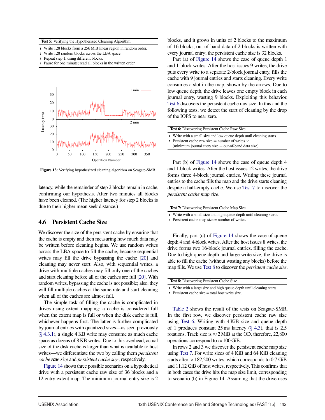Test 5: Verifying the Hypothesized Cleaning Algorithm

- <sup>1</sup> Write 128 blocks from a 256MiB linear region in random order.
- <sup>2</sup> Write 128 random blocks across the LBA space.
- <sup>3</sup> Repeat step 1, using different blocks.
- <sup>4</sup> Pause for one minute; read all blocks in the written order.



Figure 13: Verifying hypothesized cleaning algorithm on Seagate-SMR.

latency, while the remainder of step 2 blocks remain in cache, confirming our hypothesis. After two minutes all blocks have been cleaned. (The higher latency for step 2 blocks is due to their higher mean seek distance.)

#### 4.6 Persistent Cache Size

We discover the size of the persistent cache by ensuring that the cache is empty and then measuring how much data may be written before cleaning begins. We use random writes across the LBA space to fill the cache, because sequential writes may fill the drive bypassing the cache [20] and cleaning may never start. Also, with sequential writes, a drive with multiple caches may fill only one of the caches and start cleaning before all of the caches are full [20]. With random writes, bypassing the cache is not possible; also, they will fill multiple caches at the same rate and start cleaning when all of the caches are almost full.

The simple task of filling the cache is complicated in drives using extent mapping: a cache is considered full when the extent map is full or when the disk cache is full, whichever happens first. The latter is further complicated by journal entries with quantized sizes—as seen previously  $(\S$  4.3.1), a single 4 KB write may consume as much cache space as dozens of 8 KB writes. Due to this overhead, actual size of the disk cache is larger than what is available to host writes—we differentiate the two by calling them *persistent cache raw size* and *persistent cache size*, respectively.

Figure 14 shows three possible scenarios on a hypothetical drive with a persistent cache raw size of 36 blocks and a 12 entry extent map. The minimum journal entry size is 2

blocks, and it grows in units of 2 blocks to the maximum of 16 blocks; out-of-band data of 2 blocks is written with every journal entry; the persistent cache size is 32 blocks.

Part (a) of Figure 14 shows the case of queue depth 1 and 1-block writes. After the host issues 9 writes, the drive puts every write to a separate 2-block journal entry, fills the cache with 9 journal entries and starts cleaning. Every write consumes a slot in the map, shown by the arrows. Due to low queue depth, the drive leaves one empty block in each journal entry, wasting 9 blocks. Exploiting this behavior, Test 6 discovers the persistent cache raw size. In this and the following tests, we detect the start of cleaning by the drop of the IOPS to near zero.

| <b>Test 6:</b> Discovering Persistent Cache Raw Size                                                                                                                                       |  |  |
|--------------------------------------------------------------------------------------------------------------------------------------------------------------------------------------------|--|--|
| 1 Write with a small size and low queue depth until cleaning starts.<br>2 Persistent cache raw size = number of writes $\times$<br>(minimum journal entry size $+$ out-of-band data size). |  |  |

Part (b) of Figure 14 shows the case of queue depth 4 and 1-block writes. After the host issues 12 writes, the drive forms three 4-block journal entries. Writing these journal entries to the cache fills the map and the drive starts cleaning despite a half-empty cache. We use Test 7 to discover the *persistent cache map size*.

| <b>Test 7:</b> Discovering Persistent Cache Map Size                  |  |
|-----------------------------------------------------------------------|--|
| 1 Write with a small size and high queue depth until cleaning starts. |  |

<sup>2</sup> Persistent cache map size = number of writes.

Finally, part (c) of Figure 14 shows the case of queue depth 4 and 4-block writes. After the host issues 8 writes, the drive forms two 16-block journal entries, filling the cache. Due to high queue depth and large write size, the drive is able to fill the cache (without wasting any blocks) before the map fills. We use Test 8 to discover the *persistent cache size*.

| <b>Test 8:</b> Discovering Persistent Cache Size                      |  |
|-----------------------------------------------------------------------|--|
| 1 Write with a large size and high queue depth until cleaning starts. |  |
| 2 Persistent cache size $=$ total host write size.                    |  |

Table 2 shows the result of the tests on Seagate-SMR. In the first row, we discover persistent cache raw size using Test 6. Writing with 4 KiB size and queue depth of 1 produces constant 25 ms latency  $(\S$  4.3), that is 2.5 rotations. Track size is  $\approx$  2 MiB at the OD, therefore, 22,800 operations correspond to  $\approx 100$  GiB.

In rows 2 and 3 we discover the persistent cache map size using Test 7. For write sizes of 4 KiB and 64 KiB cleaning starts after  $\approx$  182,200 writes, which corresponds to 0.7 GiB and 11.12 GiB of host writes, respectively. This confirms that in both cases the drive hits the map size limit, corresponding to scenario (b) in Figure 14. Assuming that the drive uses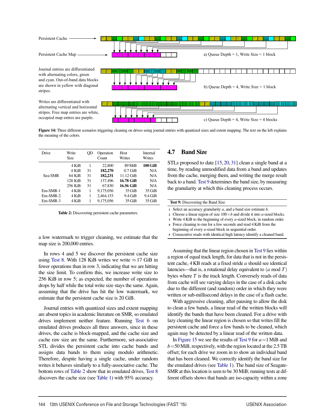

Figure 14: Three different scenarios triggering cleaning on drives using journal entries with quantized sizes and extent mapping. The text on the left explains the meaning of the colors.

10

| Drive      | Write<br>Size | OD | Operation<br>Count | Host<br>Writes | Internal<br>Writes |
|------------|---------------|----|--------------------|----------------|--------------------|
|            | 4 KiB         | 1  | 22,800             | 89 MiB         | 100 GiB            |
|            | 4 KiB         | 31 | 182,270            | $0.7$ GiB      | N/A                |
| Sea-SMR    | 64 KiB        | 31 | 182,231            | $11.12$ GiB    | N/A                |
|            | 128 KiB       | 31 | 137.496            | 16.78 GiB      | N/A                |
|            | 256 KiB       | 31 | 67,830             | 16.56 GiB      | N/A                |
| $Em-SMR-1$ | 4 KiB         | 1  | 9,175,056          | $35$ GiB       | $35$ GiB           |
| $Em-SMR-2$ | 4 KiB         | 1  | 2,464,153          | $9.4$ GiB      | $9.4$ GiB          |
| $Em-SMR-3$ | 4 KiB         |    | 9.175.056          | $35$ GiB       | $35$ GiB           |

Table 2: Discovering persistent cache parameters.

a low watermark to trigger cleaning, we estimate that the map size is 200,000 entries.

In rows 4 and 5 we discover the persistent cache size using Test 8. With 128 KiB writes we write  $\approx$  17 GiB in fewer operations than in row 3, indicating that we are hitting the size limit. To confirm this, we increase write size to 256 KiB in row 5; as expected, the number of operations drops by half while the total write size stays the same. Again, assuming that the drive has hit the low watermark, we estimate that the persistent cache size is 20 GiB.

Journal entries with quantized sizes and extent mapping are absent topics in academic literature on SMR, so emulated drives implement neither feature. Running Test 6 on emulated drives produces all three answers, since in these drives, the cache is block-mapped, and the cache size and cache raw size are the same. Furthermore, set-associative STL divides the persistent cache into cache bands and assigns data bands to them using modulo arithmetic. Therefore, despite having a single cache, under random writes it behaves similarly to a fully-associative cache. The bottom rows of Table 2 show that in emulated drives, Test 8 discovers the cache size (see Table 1) with 95% accuracy.

## 4.7 Band Size

STLs proposed to date [15,20,31] clean a single band at a time, by reading unmodified data from a band and updates from the cache, merging them, and writing the merge result back to a band. Test 9 determines the band size, by measuring the granularity at which this cleaning process occurs.

| <b>Test 9:</b> Discovering the Band Size                                           |  |  |  |
|------------------------------------------------------------------------------------|--|--|--|
| 1 Select an accuracy granularity $a$ , and a band size estimate $b$ .              |  |  |  |
| 2 Choose a linear region of size $100 \times b$ and divide it into a-sized blocks. |  |  |  |
| 3 Write $4$ KiB to the beginning of every $a$ -sized block, in random order.       |  |  |  |
| 4 Force cleaning to run for a few seconds and read 4 KiB from the                  |  |  |  |

beginning of every *a*-sized block in sequential order.

<sup>5</sup> Consecutive reads with identical high latency identify a cleaned band.

Assuming that the linear region chosen in Test 9 lies within a region of equal track length, for data that is not in the persistent cache, 4 KB reads at a fixed stride *a* should see identical latencies—that is, a rotational delay equivalent to (*a* mod *T*) bytes where *T* is the track length. Conversely reads of data from cache will see varying delays in the case of a disk cache due to the different (and random) order in which they were written or sub-millisecond delays in the case of a flash cache.

With aggressive cleaning, after pausing to allow the disk to clean a few bands, a linear read of the written blocks will identify the bands that have been cleaned. For a drive with lazy cleaning the linear region is chosen so that writes fill the persistent cache and force a few bands to be cleaned, which again may be detected by a linear read of the written data.

In Figure 15 we see the results of Test 9 for *a*=1MiB and  $b = 50$  MiB, respectively, with the region located at the 2.5 TB offset; for each drive we zoom in to show an individual band that has been cleaned. We correctly identify the band size for the emulated drives (see Table 1). The band size of Seagate-SMR at this location is seen to be 30MiB; running tests at different offsets shows that bands are iso-capacity within a zone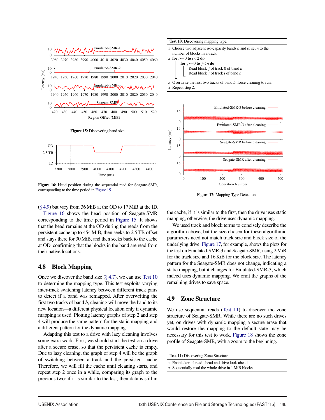

Figure 16: Head position during the sequential read for Seagate-SMR, corresponding to the time period in Figure 15.

 $(\S 4.9)$  but vary from 36 MiB at the OD to 17 MiB at the ID.

Figure 16 shows the head position of Seagate-SMR corresponding to the time period in Figure 15. It shows that the head remains at the OD during the reads from the persistent cache up to 454MiB, then seeks to 2.5 TB offset and stays there for 30MiB, and then seeks back to the cache at OD, confirming that the blocks in the band are read from their native locations.

#### 4.8 Block Mapping

Once we discover the band size  $(\S 4.7)$ , we can use Test 10 to determine the mapping type. This test exploits varying inter-track switching latency between different track pairs to detect if a band was remapped. After overwriting the first two tracks of band *b*, cleaning will move the band to its new location—a different physical location only if dynamic mapping is used. Plotting latency graphs of step 2 and step 4 will produce the same pattern for the static mapping and a different pattern for the dynamic mapping.

Adapting this test to a drive with lazy cleaning involves some extra work. First, we should start the test on a drive after a secure erase, so that the persistent cache is empty. Due to lazy cleaning, the graph of step 4 will be the graph of switching between a track and the persistent cache. Therefore, we will fill the cache until cleaning starts, and repeat step 2 once in a while, comparing its graph to the previous two: if it is similar to the last, then data is still in

Test 10: Discovering mapping type.

<sup>1</sup> Choose two adjacent iso-capacity bands *a* and *b*; set *n* to the number of blocks in a track.

<sup>2</sup> for *i*←0 to *i*<2 do for  $j \leftarrow 0$  to  $j < n$  do Read block *j* of track 0 of band *a* Read block *j* of track *i* of band *b*

<sup>3</sup> Overwrite the first two tracks of band *b*; force cleaning to run.

<sup>4</sup> Repeat step 2.



Figure 17: Mapping Type Detection.

the cache, if it is similar to the first, then the drive uses static mapping, otherwise, the drive uses dynamic mapping.

We used track and block terms to concisely describe the algorithm above, but the size chosen for these algorithmic parameters need not match track size and block size of the underlying drive. Figure 17, for example, shows the plots for the test on Emulated-SMR-3 and Seagate-SMR, using 2MiB for the track size and 16 KiB for the block size. The latency pattern for the Seagate-SMR does not change, indicating a static mapping, but it changes for Emulated-SMR-3, which indeed uses dynamic mapping. We omit the graphs of the remaining drives to save space.

## 4.9 Zone Structure

We use sequential reads (Test 11) to discover the zone structure of Seagate-SMR. While there are no such drives yet, on drives with dynamic mapping a secure erase that would restore the mapping to the default state may be necessary for this test to work. Figure 18 shows the zone profile of Seagate-SMR, with a zoom to the beginning.

Test 11: Discovering Zone Structure

 $\overline{1}$ 

- <sup>1</sup> Enable kernel read-ahead and drive look-ahead.
- <sup>2</sup> Sequentially read the whole drive in 1MiB blocks.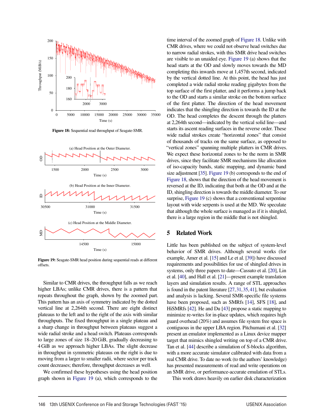

Figure 18: Sequential read throughput of Seagate-SMR.



Figure 19: Seagate-SMR head position during sequential reads at different offsets.

Similar to CMR drives, the throughput falls as we reach higher LBAs; unlike CMR drives, there is a pattern that repeats throughout the graph, shown by the zoomed part. This pattern has an axis of symmetry indicated by the dotted vertical line at 2,264th second. There are eight distinct plateaus to the left and to the right of the axis with similar throughputs. The fixed throughput in a single plateau and a sharp change in throughput between plateaus suggest a wide radial stroke and a head switch. Plateaus corresponds to large zones of size 18–20 GiB, gradually decreasing to 4 GiB as we approach higher LBAs. The slight decrease in throughput in symmetric plateaus on the right is due to moving from a larger to smaller radii, where sector per track count decreases; therefore, throughput decreases as well.

We confirmed these hypotheses using the head position graph shown in Figure 19 (a), which corresponds to the

time interval of the zoomed graph of Figure 18. Unlike with CMR drives, where we could not observe head switches due to narrow radial strokes, with this SMR drive head switches are visible to an unaided eye. Figure 19 (a) shows that the head starts at the OD and slowly moves towards the MD completing this inwards move at 1,457th second, indicated by the vertical dotted line. At this point, the head has just completed a wide radial stroke reading gigabytes from the top surface of the first platter, and it performs a jump back to the OD and starts a similar stroke on the bottom surface of the first platter. The direction of the head movement indicates that the shingling direction is towards the ID at the OD. The head completes the descent through the platters at 2,264th second—indicated by the vertical solid line—and starts its ascent reading surfaces in the reverse order. These wide radial strokes create "horizontal zones" that consist of thousands of tracks on the same surface, as opposed to "vertical zones" spanning multiple platters in CMR drives. We expect these horizontal zones to be the norm in SMR drives, since they facilitate SMR mechanisms like allocation of iso-capacity bands, static mapping, and dynamic band size adjustment [35]. Figure 19 (b) corresponds to the end of Figure 18, shows that the direction of the head movement is reversed at the ID, indicating that both at the OD and at the ID, shingling direction is towards the middle diameter. To our surprise, Figure 19 (c) shows that a conventional serpentine layout with wide serpents is used at the MD. We speculate that although the whole surface is managed as if it is shingled, there is a large region in the middle that is not shingled.

## 5 Related Work

Little has been published on the subject of system-level behavior of SMR drives. Although several works (for example, Amer et al. [15] and Le et al. [39]) have discussed requirements and possibilities for use of shingled drives in systems, only three papers to date—Cassuto et al. [20], Lin et al. [40], and Hall et al. [21]—present example translation layers and simulation results. A range of STL approaches is found in the patent literature [27,31,35,41], but evaluation and analysis is lacking. Several SMR-specific file systems have been proposed, such as SMRfs [14], SFS [18], and HiSMRfs [42]. He and Du [43] propose a static mapping to minimize re-writes for in-place updates, which requires high guard overhead (20%) and assumes file system free space is contiguous in the upper LBA region. Pitchumani et al. [32] present an emulator implemented as a Linux device mapper target that mimics shingled writing on top of a CMR drive. Tan et al. [44] describe a simulation of S-blocks algorithm, with a more accurate simulator calibrated with data from a real CMR drive. To date no work (to the authors' knowledge) has presented measurements of read and write operations on an SMR drive, or performance-accurate emulation of STLs.

This work draws heavily on earlier disk characterization

 $\overline{a}$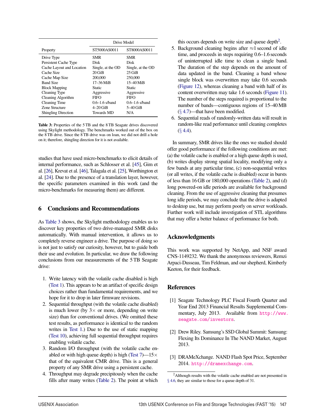|                            | Drive Model        |                    |
|----------------------------|--------------------|--------------------|
| Property                   | ST5000AS0011       | ST8000AS0011       |
| Drive Type                 | <b>SMR</b>         | SMR                |
| Persistent Cache Type      | Disk               | Disk               |
| Cache Layout and Location  | Single, at the OD  | Single, at the OD  |
| Cache Size                 | $20$ GiB           | $25$ GiB           |
| Cache Map Size             | 200,000            | 250,000            |
| <b>Band Size</b>           | $17 - 36$ MiB      | $15-40$ MiB        |
| <b>Block Mapping</b>       | Static             | Static             |
| Cleaning Type              | Aggressive         | Aggressive         |
| Cleaning Algorithm         | <b>FIFO</b>        | FIFO               |
| Cleaning Time              | $0.6 - 1.6$ s/band | $0.6 - 1.6$ s/band |
| Zone Structure             | $4-20$ GiB         | $5-40$ GiB         |
| <b>Shingling Direction</b> | <b>Towards MD</b>  | N/A                |

Table 3: Properties of the 5 TB and the 8 TB Seagate drives discovered using Skylight methodology. The benchmarks worked out of the box on the 8 TB drive. Since the 8 TB drive was on loan, we did not drill a hole on it; therefore, shingling direction for it is not available.

studies that have used micro-benchmarks to elicit details of internal performance, such as Schlosser et al. [45], Gim et al. [26], Krevat et al. [46], Talagala et al. [25], Worthington et al. [24]. Due to the presence of a translation layer, however, the specific parameters examined in this work (and the micro-benchmarks for measuring them) are different.

#### 6 Conclusions and Recommendations

As Table 3 shows, the Skylight methodology enables us to discover key properties of two drive-managed SMR disks automatically. With manual intervention, it allows us to completely reverse engineer a drive. The purpose of doing so is not just to satisfy our curiosity, however, but to guide both their use and evolution. In particular, we draw the following conclusions from our measurements of the 5 TB Seagate drive:

- 1. Write latency with the volatile cache disabled is high (Test 1). This appears to be an artifact of specific design choices rather than fundamental requirements, and we hope for it to drop in later firmware revisions.
- 2. Sequential throughput (with the volatile cache disabled) is much lower (by  $3 \times$  or more, depending on write size) than for conventional drives. (We omitted these test results, as performance is identical to the random writes in Test 1.) Due to the use of static mapping (Test 10), achieving full sequential throughput requires enabling volatile cache.
- 3. Random I/O throughput (with the volatile cache enabled or with high queue depth) is high (Test  $7$ )— $15 \times$ that of the equivalent CMR drive. This is a general property of any SMR drive using a persistent cache.
- 4. Throughput may degrade precipitously when the cache fills after many writes (Table 2). The point at which

this occurs depends on write size and queue depth<sup>2</sup>.

- 5. Background cleaning begins after  $\approx$ 1 second of idle time, and proceeds in steps requiring 0.6–1.6 seconds of uninterrupted idle time to clean a single band. The duration of the step depends on the amount of data updated in the band. Cleaning a band whose single block was overwritten may take 0.6 seconds (Figure 12), whereas cleaning a band with half of its content overwritten may take 1.6 seconds (Figure 11). The number of the steps required is proportional to the number of bands—contiguous regions of 15–40MB  $(\S$  4.7)—that have been modified.
- 6. Sequential reads of randomly-written data will result in random-like read performance until cleaning completes  $(\S$  4.4).

In summary, SMR drives like the ones we studied should offer good performance if the following conditions are met: (a) the volatile cache is enabled or a high queue depth is used, (b) writes display strong spatial locality, modifying only a few bands at any particular time, (c) non-sequential writes (or all writes, if the volatile cache is disabled) occur in bursts of less than 16 GB or 180,000 operations (Table 2), and (d) long powered-on idle periods are available for background cleaning. From the use of aggressive cleaning that presumes long idle periods, we may conclude that the drive is adapted to desktop use, but may perform poorly on server workloads. Further work will include investigation of STL algorithms that may offer a better balance of performance for both.

## Acknowledgments

This work was supported by NetApp, and NSF award CNS-1149232. We thank the anonymous reviewers, Remzi Arpaci-Dusseau, Tim Feldman, and our shepherd, Kimberly Keeton, for their feedback.

## **References**

 $\overline{1}$ 

- [1] Seagate Technology PLC Fiscal Fourth Quarter and Year End 2013 Financial Results Supplemental Commentary, July 2013. Available from http://www. seagate.com/investors.
- [2] Drew Riley. Samsung's SSD Global Summit: Samsung: Flexing Its Dominance In The NAND Market, August 2013.
- [3] DRAMeXchange. NAND Flash Spot Price, September 2014. http://dramexchange.com.

<sup>&</sup>lt;sup>2</sup>Although results with the volatile cache enabled are not presented in § 4.6, they are similar to those for a queue depth of 31.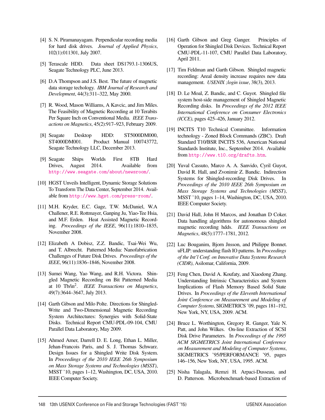- [4] S. N. Piramanayagam. Perpendicular recording media for hard disk drives. *Journal of Applied Physics*, 102(1):011301, July 2007.
- [5] Terascale HDD. Data sheet DS1793.1-1306US, Seagate Technology PLC, June 2013.
- [6] D.A Thompson and J.S. Best. The future of magnetic data storage techology. *IBM Journal of Research and Development*, 44(3):311–322, May 2000.
- [7] R. Wood, Mason Williams, A Kavcic, and Jim Miles. The Feasibility of Magnetic Recording at 10 Terabits Per Square Inch on Conventional Media. *IEEE Transactions on Magnetics*, 45(2):917–923, February 2009.
- [8] Seagate Desktop HDD: ST5000DM000, ST4000DM001. Product Manual 100743772, Seagate Technology LLC, December 2013.
- [9] Seagate Ships Worlds First 8TB Hard Drives, August 2014. Available from http://www.seagate.com/about/newsroom/.
- [10] HGST Unveils Intelligent, Dynamic Storage Solutions To Transform The Data Center, September 2014. Available from http://www.hgst.com/press-room/.
- [11] M.H. Kryder, E.C. Gage, T.W. McDaniel, W.A Challener, R.E. Rottmayer, Ganping Ju, Yiao-Tee Hsia, and M.F. Erden. Heat Assisted Magnetic Recording. *Proceedings of the IEEE*, 96(11):1810–1835, November 2008.
- [12] Elizabeth A Dobisz, Z.Z. Bandic, Tsai-Wei Wu, and T. Albrecht. Patterned Media: Nanofabrication Challenges of Future Disk Drives. *Proceedings of the IEEE*, 96(11):1836–1846, November 2008.
- [13] Sumei Wang, Yao Wang, and R.H. Victora. Shingled Magnetic Recording on Bit Patterned Media at 10 Tb/in2. *IEEE Transactions on Magnetics*, 49(7):3644–3647, July 2013.
- [14] Garth Gibson and Milo Polte. Directions for Shingled-Write and Two-Dimensional Magnetic Recording System Architectures: Synergies with Solid-State Disks. Technical Report CMU-PDL-09-104, CMU Parallel Data Laboratory, May 2009.
- [15] Ahmed Amer, Darrell D. E. Long, Ethan L. Miller, Jehan-Francois Paris, and S. J. Thomas Schwarz. Design Issues for a Shingled Write Disk System. In *Proceedings of the 2010 IEEE 26th Symposium on Mass Storage Systems and Technologies (MSST)*, MSST '10, pages 1–12, Washington, DC, USA, 2010. IEEE Computer Society.
- [16] Garth Gibson and Greg Ganger. Principles of Operation for Shingled Disk Devices. Technical Report CMU-PDL-11-107, CMU Parallel Data Laboratory, April 2011.
- [17] Tim Feldman and Garth Gibson. Shingled magnetic recording: Areal density increase requires new data management. *USENIX ;login issue*, 38(3), 2013.
- [18] D. Le Moal, Z. Bandic, and C. Guyot. Shingled file system host-side management of Shingled Magnetic Recording disks. In *Proceedings of the 2012 IEEE International Conference on Consumer Electronics (ICCE)*, pages 425–426, January 2012.
- [19] INCITS T10 Technical Committee. Information technology - Zoned Block Commands (ZBC). Draft Standard T10/BSR INCITS 536, American National Standards Institute, Inc., September 2014. Available from http://www.t10.org/drafts.htm.
- [20] Yuval Cassuto, Marco A. A. Sanvido, Cyril Guyot, David R. Hall, and Zvonimir Z. Bandic. Indirection Systems for Shingled-recording Disk Drives. In *Proceedings of the 2010 IEEE 26th Symposium on Mass Storage Systems and Technologies (MSST)*, MSST '10, pages 1–14, Washington, DC, USA, 2010. IEEE Computer Society.
- [21] David Hall, John H Marcos, and Jonathan D Coker. Data handling algorithms for autonomous shingled magnetic recording hdds. *IEEE Transactions on Magnetics*, 48(5):1777–1781, 2012.
- [22] Luc Bouganim, Bjorn Jnsson, and Philippe Bonnet. uFLIP: understanding flash IO patterns. In *Proceedings of the Int'l Conf. on Innovative Data Systems Research (CIDR)*, Asilomar, California, 2009.
- [23] Feng Chen, David A. Koufaty, and Xiaodong Zhang. Understanding Intrinsic Characteristics and System Implications of Flash Memory Based Solid State Drives. In *Proceedings of the Eleventh International Joint Conference on Measurement and Modeling of Computer Systems*, SIGMETRICS '09, pages 181–192, New York, NY, USA, 2009. ACM.
- [24] Bruce L. Worthington, Gregory R. Ganger, Yale N. Patt, and John Wilkes. On-line Extraction of SCSI Disk Drive Parameters. In *Proceedings of the 1995 ACM SIGMETRICS Joint International Conference on Measurement and Modeling of Computer Systems*, SIGMETRICS '95/PERFORMANCE '95, pages 146–156, New York, NY, USA, 1995. ACM.
- [25] Nisha Talagala, Remzi H. Arpaci-Dusseau, and D. Patterson. Microbenchmark-based Extraction of

 $\overline{1}$